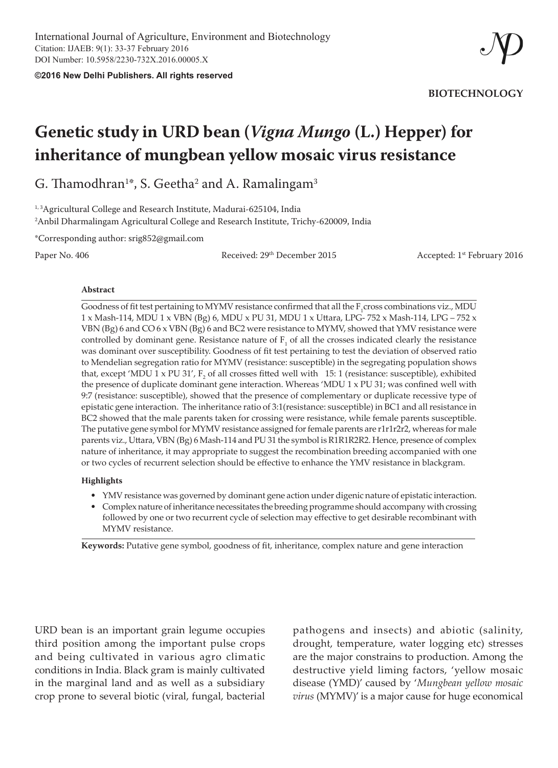**©2016 New Delhi Publishers. All rights reserved**

**BIOTECHNOLOGY**

# **Genetic study in URD bean (***Vigna Mungo* **(L.) Hepper) for inheritance of mungbean yellow mosaic virus resistance**

G. Thamodhran $^{1*}$ , S. Geetha $^{2}$  and A. Ramalingam $^{3}$ 

<sup>1, 3</sup>Agricultural College and Research Institute, Madurai-625104, India  $^{\rm 2}$ Anbil Dharmalingam Agricultural College and Research Institute, Trichy-620009, India

\*Corresponding author: srig852@gmail.com

Paper No. 406 **Received:** 29<sup>th</sup> December 2015 **Accepted:** 1<sup>st</sup> February 2016

#### **Abstract**

Goodness of fit test pertaining to MYMV resistance confirmed that all the  $F_1$ cross combinations viz., MDU 1 x Mash-114, MDU 1 x VBN (Bg) 6, MDU x PU 31, MDU 1 x Uttara, LPG- 752 x Mash-114, LPG – 752 x VBN (Bg) 6 and CO 6 x VBN (Bg) 6 and BC2 were resistance to MYMV, showed that YMV resistance were controlled by dominant gene. Resistance nature of  $F_1$  of all the crosses indicated clearly the resistance was dominant over susceptibility. Goodness of fit test pertaining to test the deviation of observed ratio to Mendelian segregation ratio for MYMV (resistance: susceptible) in the segregating population shows that, except 'MDU 1 x PU 31',  $F_2$  of all crosses fitted well with 15: 1 (resistance: susceptible), exhibited the presence of duplicate dominant gene interaction. Whereas 'MDU 1 x PU 31; was confined well with 9:7 (resistance: susceptible), showed that the presence of complementary or duplicate recessive type of epistatic gene interaction. The inheritance ratio of 3:1(resistance: susceptible) in BC1 and all resistance in BC2 showed that the male parents taken for crossing were resistance, while female parents susceptible. The putative gene symbol for MYMV resistance assigned for female parents are r1r1r2r2, whereas for male parents viz., Uttara, VBN (Bg) 6 Mash-114 and PU 31 the symbol is R1R1R2R2. Hence, presence of complex nature of inheritance, it may appropriate to suggest the recombination breeding accompanied with one or two cycles of recurrent selection should be effective to enhance the YMV resistance in blackgram.

#### **Highlights**

- YMV resistance was governed by dominant gene action under digenic nature of epistatic interaction.
- Complex nature of inheritance necessitates the breeding programme should accompany with crossing followed by one or two recurrent cycle of selection may effective to get desirable recombinant with MYMV resistance.

**Keywords:** Putative gene symbol, goodness of fit, inheritance, complex nature and gene interaction

URD bean is an important grain legume occupies third position among the important pulse crops and being cultivated in various agro climatic conditions in India. Black gram is mainly cultivated in the marginal land and as well as a subsidiary crop prone to several biotic (viral, fungal, bacterial

pathogens and insects) and abiotic (salinity, drought, temperature, water logging etc) stresses are the major constrains to production. Among the destructive yield liming factors, 'yellow mosaic disease (YMD)' caused by '*Mungbean yellow mosaic virus* (MYMV)' is a major cause for huge economical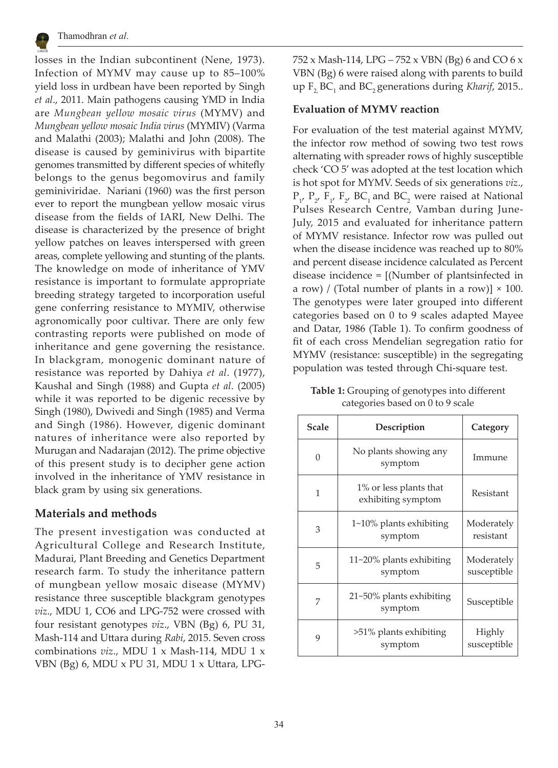

losses in the Indian subcontinent (Nene, 1973). Infection of MYMV may cause up to 85–100% yield loss in urdbean have been reported by Singh *et al*., 2011. Main pathogens causing YMD in India are *Mungbean yellow mosaic virus* (MYMV) and *Mungbean yellow mosaic India virus* (MYMIV) (Varma and Malathi (2003); Malathi and John (2008). The disease is caused by geminivirus with bipartite genomes transmitted by different species of whitefly belongs to the genus begomovirus and family geminiviridae. Nariani (1960) was the first person ever to report the mungbean yellow mosaic virus disease from the fields of IARI, New Delhi. The disease is characterized by the presence of bright yellow patches on leaves interspersed with green areas, complete yellowing and stunting of the plants. The knowledge on mode of inheritance of YMV resistance is important to formulate appropriate breeding strategy targeted to incorporation useful gene conferring resistance to MYMIV, otherwise agronomically poor cultivar. There are only few contrasting reports were published on mode of inheritance and gene governing the resistance. In blackgram, monogenic dominant nature of resistance was reported by Dahiya *et al*. (1977), Kaushal and Singh (1988) and Gupta *et al*. (2005) while it was reported to be digenic recessive by Singh (1980), Dwivedi and Singh (1985) and Verma and Singh (1986). However, digenic dominant natures of inheritance were also reported by Murugan and Nadarajan (2012). The prime objective of this present study is to decipher gene action involved in the inheritance of YMV resistance in black gram by using six generations.

# **Materials and methods**

The present investigation was conducted at Agricultural College and Research Institute, Madurai, Plant Breeding and Genetics Department research farm. To study the inheritance pattern of mungbean yellow mosaic disease (MYMV) resistance three susceptible blackgram genotypes *viz*., MDU 1, CO6 and LPG-752 were crossed with four resistant genotypes *viz*., VBN (Bg) 6, PU 31, Mash-114 and Uttara during *Rabi*, 2015. Seven cross combinations *viz*., MDU 1 x Mash-114, MDU 1 x VBN (Bg) 6, MDU x PU 31, MDU 1 x Uttara, LPG-

752 x Mash-114, LPG – 752 x VBN (Bg) 6 and CO 6 x VBN (Bg) 6 were raised along with parents to build  $\mathop{\rm up}\nolimits\,mathsf{F}_2\mathsf{BC}_1$  and  $\mathsf{BC}_2$  generations during *Kharif*, 2015..

## **Evaluation of MYMV reaction**

For evaluation of the test material against MYMV, the infector row method of sowing two test rows alternating with spreader rows of highly susceptible check 'CO 5' was adopted at the test location which is hot spot for MYMV. Seeds of six generations *viz*.,  $P_{1'}$ ,  $P_{2'}$ ,  $F_{1'}$ ,  $F_{2'}$ , BC<sub>1</sub> and BC<sub>2</sub> were raised at National Pulses Research Centre, Vamban during June-July, 2015 and evaluated for inheritance pattern of MYMV resistance. Infector row was pulled out when the disease incidence was reached up to 80% and percent disease incidence calculated as Percent disease incidence = [(Number of plantsinfected in a row) / (Total number of plants in a row)]  $\times$  100. The genotypes were later grouped into different categories based on 0 to 9 scales adapted Mayee and Datar, 1986 (Table 1). To confirm goodness of fit of each cross Mendelian segregation ratio for MYMV (resistance: susceptible) in the segregating population was tested through Chi-square test.

| Table 1: Grouping of genotypes into different |
|-----------------------------------------------|
| categories based on 0 to 9 scale              |

| <b>Scale</b> | Description                                  | Category                  |
|--------------|----------------------------------------------|---------------------------|
| O            | No plants showing any<br>symptom             | Immune                    |
| 1            | 1% or less plants that<br>exhibiting symptom | Resistant                 |
| 3            | $1\nu$ -10% plants exhibiting<br>symptom     | Moderately<br>resistant   |
| 5            | $11 - 20\%$ plants exhibiting<br>symptom     | Moderately<br>susceptible |
| 7            | 21~50% plants exhibiting<br>symptom          | Susceptible               |
| 9            | >51% plants exhibiting<br>symptom            | Highly<br>susceptible     |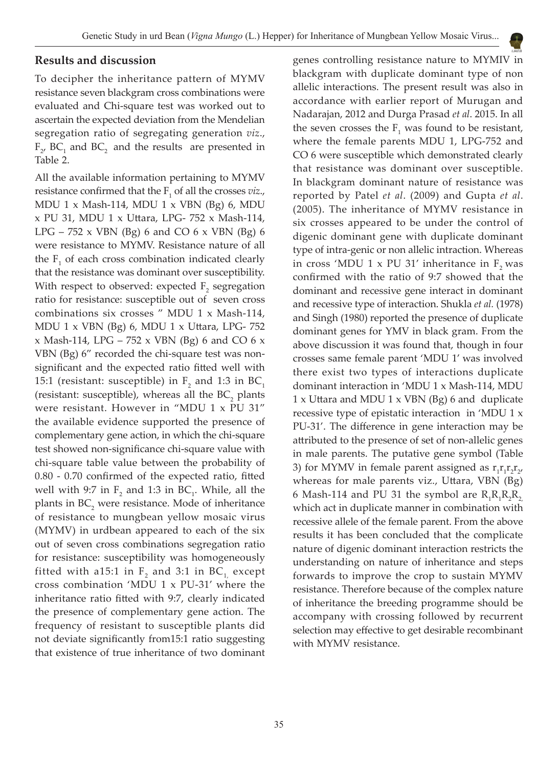## **Results and discussion**

To decipher the inheritance pattern of MYMV resistance seven blackgram cross combinations were evaluated and Chi-square test was worked out to ascertain the expected deviation from the Mendelian segregation ratio of segregating generation *viz*.,  $F_{2}$ , BC<sub>1</sub> and BC<sub>2</sub> and the results are presented in Table 2.

All the available information pertaining to MYMV resistance confirmed that the  $F_1$  of all the crosses *viz.*, MDU  $1 \times$  Mash-114, MDU  $1 \times$  VBN (Bg) 6, MDU x PU 31, MDU 1 x Uttara, LPG- 752 x Mash-114, LPG – 752 x VBN (Bg) 6 and CO 6 x VBN (Bg) 6 were resistance to MYMV. Resistance nature of all the  $F_1$  of each cross combination indicated clearly that the resistance was dominant over susceptibility. With respect to observed: expected  $F_2$  segregation ratio for resistance: susceptible out of seven cross combinations six crosses " MDU 1 x Mash-114, MDU 1 x VBN (Bg) 6, MDU 1 x Uttara, LPG- 752  $x$  Mash-114, LPG – 752  $x$  VBN (Bg) 6 and CO 6  $x$ VBN (Bg) 6" recorded the chi-square test was nonsignificant and the expected ratio fitted well with 15:1 (resistant: susceptible) in  $F_2$  and 1:3 in  $BC_1$ (resistant: susceptible), whereas all the  $BC_2$  plants were resistant. However in "MDU 1 x PU 31" the available evidence supported the presence of complementary gene action, in which the chi-square test showed non-significance chi-square value with chi-square table value between the probability of 0.80 - 0.70 confirmed of the expected ratio, fitted well with 9:7 in  $F_2$  and 1:3 in  $BC_1$ . While, all the plants in  $BC_2$  were resistance. Mode of inheritance of resistance to mungbean yellow mosaic virus (MYMV) in urdbean appeared to each of the six out of seven cross combinations segregation ratio for resistance: susceptibility was homogeneously fitted with a15:1 in  $F_2$  and 3:1 in BC $_{1}$ , except cross combination 'MDU 1 x PU-31' where the inheritance ratio fitted with 9:7, clearly indicated the presence of complementary gene action. The frequency of resistant to susceptible plants did not deviate significantly from15:1 ratio suggesting that existence of true inheritance of two dominant

genes controlling resistance nature to MYMIV in blackgram with duplicate dominant type of non allelic interactions. The present result was also in accordance with earlier report of Murugan and Nadarajan, 2012 and Durga Prasad *et al*. 2015. In all the seven crosses the  $F_1$  was found to be resistant, where the female parents MDU 1, LPG-752 and CO 6 were susceptible which demonstrated clearly that resistance was dominant over susceptible. In blackgram dominant nature of resistance was reported by Patel *et al*. (2009) and Gupta *et al*. (2005). The inheritance of MYMV resistance in six crosses appeared to be under the control of digenic dominant gene with duplicate dominant type of intra-genic or non allelic intraction. Whereas in cross 'MDU 1  $\times$  PU 31' inheritance in F<sub>2</sub> was confirmed with the ratio of 9:7 showed that the dominant and recessive gene interact in dominant and recessive type of interaction. Shukla *et al.* (1978) and Singh (1980) reported the presence of duplicate dominant genes for YMV in black gram. From the above discussion it was found that, though in four crosses same female parent 'MDU 1' was involved there exist two types of interactions duplicate dominant interaction in 'MDU 1 x Mash-114, MDU 1 x Uttara and MDU 1 x VBN (Bg) 6 and duplicate recessive type of epistatic interaction in 'MDU 1 x PU-31'. The difference in gene interaction may be attributed to the presence of set of non-allelic genes in male parents. The putative gene symbol (Table 3) for MYMV in female parent assigned as  $r_1r_1r_2r_2$ , whereas for male parents viz., Uttara, VBN (Bg)  $6$  Mash-114 and PU 31 the symbol are  $R_{1}R_{1}R_{2}R_{2,2}$ which act in duplicate manner in combination with recessive allele of the female parent. From the above results it has been concluded that the complicate nature of digenic dominant interaction restricts the understanding on nature of inheritance and steps forwards to improve the crop to sustain MYMV resistance. Therefore because of the complex nature of inheritance the breeding programme should be accompany with crossing followed by recurrent selection may effective to get desirable recombinant with MYMV resistance.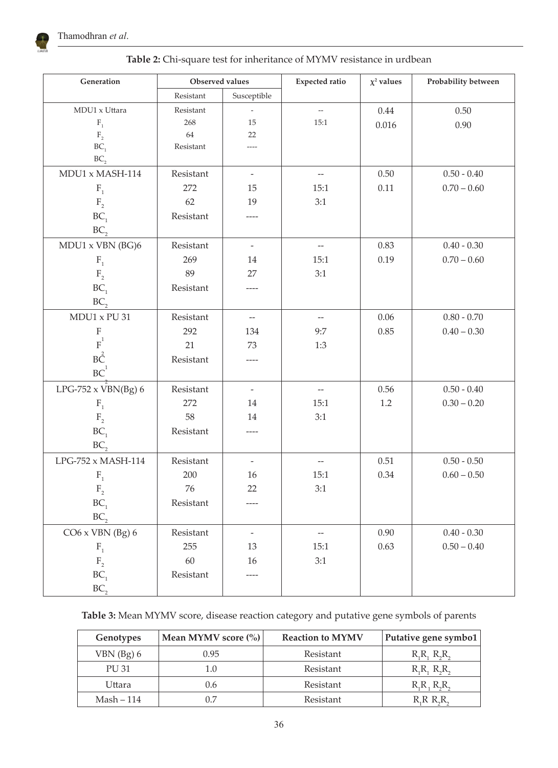

| Generation                           | Observed values |                          | <b>Expected ratio</b>    | $\chi^2$ values | Probability between |
|--------------------------------------|-----------------|--------------------------|--------------------------|-----------------|---------------------|
|                                      | Resistant       | Susceptible              |                          |                 |                     |
| MDU1 x Uttara                        | Resistant       | $\overline{\phantom{a}}$ | $\overline{\phantom{a}}$ | 0.44            | 0.50                |
| $\mathbf{F}_\text{1}$                | 268             | 15                       | 15:1                     | 0.016           | 0.90                |
| $\mathbf{F}_{_{2}}$                  | 64              | 22                       |                          |                 |                     |
| BC <sub>1</sub>                      | Resistant       | ----                     |                          |                 |                     |
| BC <sub>2</sub>                      |                 |                          |                          |                 |                     |
| MDU1 x MASH-114                      | Resistant       | $\overline{\phantom{a}}$ | $\overline{\phantom{m}}$ | 0.50            | $0.50 - 0.40$       |
| $F_{1}$                              | 272             | 15                       | 15:1                     | 0.11            | $0.70 - 0.60$       |
| $\mathbf{F}_{\scriptscriptstyle{2}}$ | 62              | 19                       | 3:1                      |                 |                     |
| BC <sub>1</sub>                      | Resistant       |                          |                          |                 |                     |
| BC <sub>2</sub>                      |                 |                          |                          |                 |                     |
| MDU1 x VBN (BG)6                     | Resistant       | $\overline{\phantom{a}}$ | $\overline{\phantom{m}}$ | 0.83            | $0.40 - 0.30$       |
| $\mathbf{F}_1$                       | 269             | 14                       | 15:1                     | 0.19            | $0.70 - 0.60$       |
| $\mathbf{F}_{_{2}}$                  | 89              | 27                       | 3:1                      |                 |                     |
| BC <sub>1</sub>                      | Resistant       | ----                     |                          |                 |                     |
| BC <sub>2</sub>                      |                 |                          |                          |                 |                     |
| MDU1 x PU 31                         | Resistant       | $\overline{\phantom{a}}$ | $\overline{\phantom{m}}$ | 0.06            | $0.80 - 0.70$       |
| $\rm F$                              | 292             | 134                      | 9:7                      | 0.85            | $0.40 - 0.30$       |
| $\overline{\mathrm{F}}^1$            | 21              | 73                       | 1:3                      |                 |                     |
| $B\overset{2}{C}$                    | Resistant       | $---$                    |                          |                 |                     |
| $\mathrm{BC}^1$                      |                 |                          |                          |                 |                     |
| LPG-752 $\times$ VBN(Bg) 6           | Resistant       | $\equiv$                 | $\overline{\phantom{m}}$ | 0.56            | $0.50 - 0.40$       |
| $\mathbf{F}_1$                       | 272             | 14                       | 15:1                     | $1.2\,$         | $0.30 - 0.20$       |
| $\mathbf{F}_{\scriptscriptstyle{2}}$ | 58              | 14                       | 3:1                      |                 |                     |
| BC <sub>1</sub>                      | Resistant       |                          |                          |                 |                     |
| BC <sub>2</sub>                      |                 |                          |                          |                 |                     |
| $LPG-752 \times MASH-114$            | Resistant       | $\overline{\phantom{a}}$ | $\overline{\phantom{m}}$ | 0.51            | $0.50 - 0.50$       |
| $\mathbf{F}_1$                       | 200             | 16                       | 15:1                     | 0.34            | $0.60 - 0.50$       |
| $\mathbf{F}_{_{2}}$                  | 76              | 22                       | 3:1                      |                 |                     |
| $BC_1$                               | Resistant       | ----                     |                          |                 |                     |
| BC                                   |                 |                          |                          |                 |                     |
| $CO6 \times VBN$ (Bg) 6              | Resistant       | $\overline{\phantom{a}}$ | $-\!$                    | 0.90            | $0.40 - 0.30$       |
| $\mathbf{F}_\text{1}$                | 255             | 13                       | 15:1                     | 0.63            | $0.50 - 0.40$       |
| $\mathbf{F}_{\scriptscriptstyle{2}}$ | 60              | $16\,$                   | 3:1                      |                 |                     |
| $BC_1$                               | Resistant       | $--- -$                  |                          |                 |                     |
| BC <sub>2</sub>                      |                 |                          |                          |                 |                     |

**Table 2:** Chi-square test for inheritance of MYMV resistance in urdbean

**Table 3:** Mean MYMV score, disease reaction category and putative gene symbols of parents

| Genotypes    | Mean MYMV score $\left(\% \right)$ | <b>Reaction to MYMV</b> | Putative gene symbo1    |
|--------------|------------------------------------|-------------------------|-------------------------|
| $VBN$ (Bg) 6 | 0.95                               | Resistant               | $R_1R_1, R_2R_2$        |
| <b>PU31</b>  | 1.0                                | Resistant               | $R_1R_1, R_2R_2$        |
| Uttara       | 0.6                                | Resistant               | $R_1R_1R_2R_3$          |
| $Mask - 114$ | 0.7                                | Resistant               | $R$ , $R$ , $R$ , $R$ , |